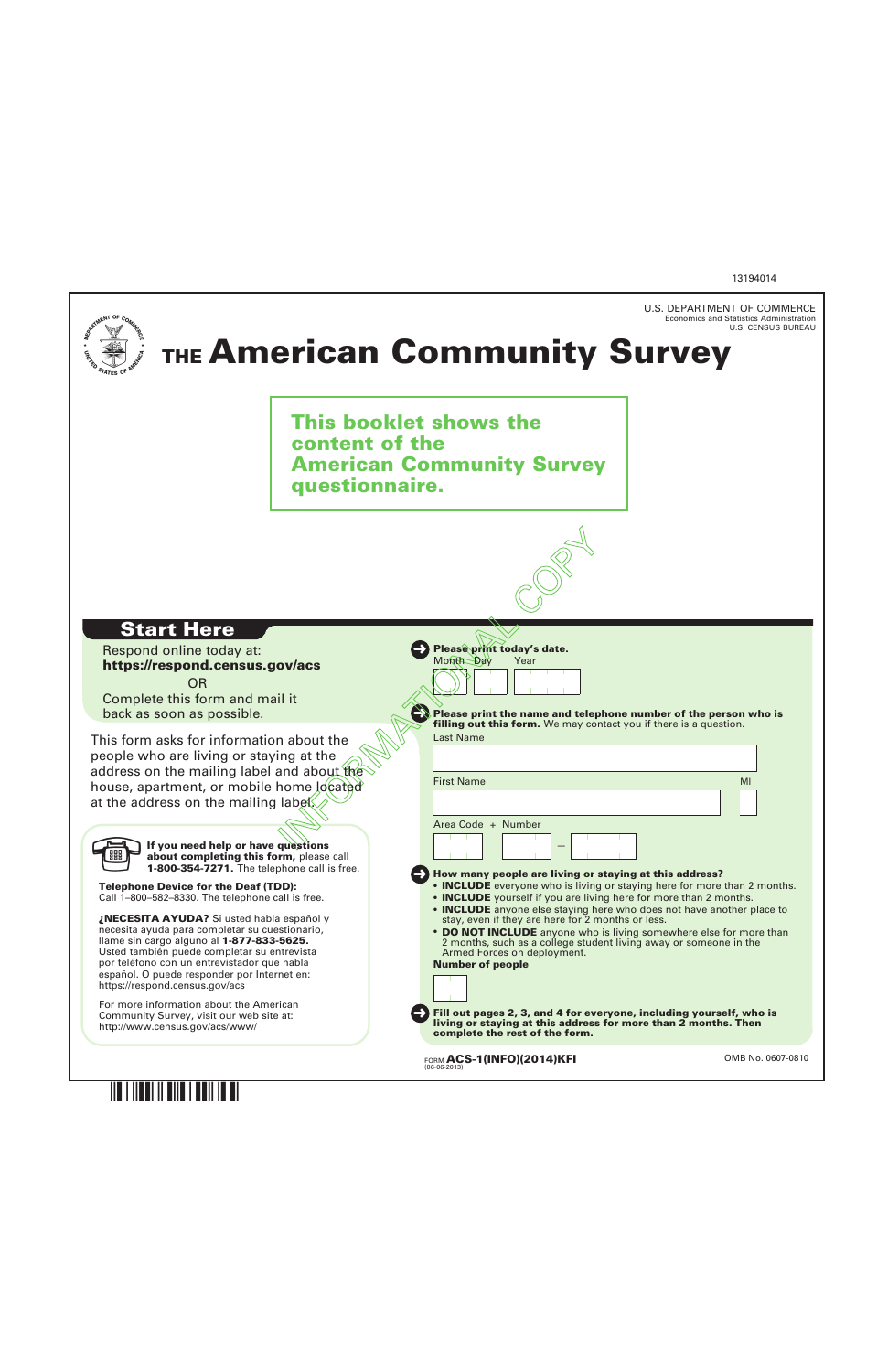U.S. CENSUS BUREAU

U.S. DEPARTMENT OF COMMERCE Economics and Statistics Administration



# **THE American Community Survey**

**This booklet shows the content of the American Community Survey questionnaire.** 

➜

**Please print today's date.**  Month Day Year

 $(06-06-2013)$ 

## **Start Here**

### Respond online today at: **https://respond.census.gov/acs**

OR Complete this form and mail it back as soon as possible.

This form asks for information about the people who are living or staying at the address on the mailing label and about the house, apartment, or mobile home located at the address on the mailing label.



**I f you need help or have questions about completing this form,** please call **1-800-354-7271.** The telephone call is free.

**Telephone Device for the Deaf (TDD):**  Call 1–800–582–8330. The telephone call is free.

**¿NECESITA AYUDA?** Si usted habla español y necesita ayuda para completar su cuestionario, llame sin cargo alguno al **1-877-833-5625.**  Usted también puede completar su entrevista por teléfono con un entrevistador que habla español. O puede responder por Internet en: https://respond.census.gov/acs

For more information about the American Community Survey, visit our web site at: http://www.census.gov/acs/www/

— ➜ ➜ **• INCLUDE** everyone who is living or staying here for more than 2 months. **• INCLUDE** yourself if you are living here for more than 2 months. **• INCLUDE** anyone else staying here who does not have another place to **• DO NOT INCLUDE** anyone who is living somewhere else for more than **Example 1998**<br> **OPPEASE PERITHE TODAY's date.**<br>
Worth Day Year<br>
Year<br>
II it<br>
II it<br>
II it<br>
Please print the name and teleph<br>
Filling out this form. We may contend<br>
Last Name<br>
Last Name<br>
First Name<br>
Read Code + Number<br>
Re FORM **ACS-1(INFO)(2014)KFI**  OMB No. 0607-0810 **Please print the name and telephone number of the person who is filling out this form.** We may contact you if there is a question. Last Name **First Name** MI and the MI and the MI and the MI and the MI and the MI and the MI and the MI and the MI and the MI Area Code + Number **How many people are living or staying at this address?** stay, even if they are here for 2 months or less. 2 months, such as a college student living away or someone in the Armed Forces on deployment. **Number of people Fill out pages 2, 3, and 4 for everyone, including yourself, who is living or staying at this address for more than 2 months. Then complete the rest of the form.** 

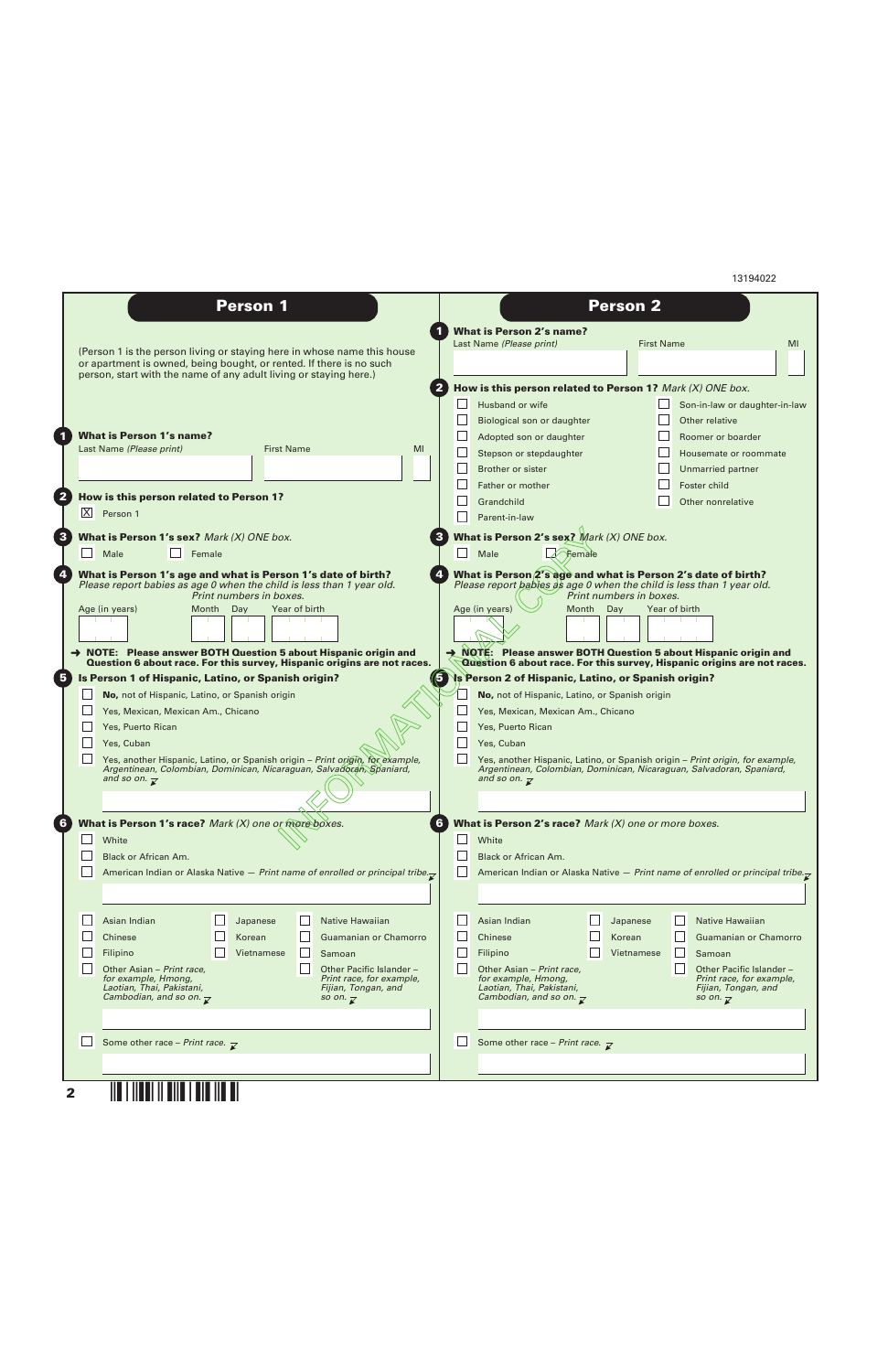13194022

|              | <b>Person 1</b>                                                                                                                                                                                                                                                                                                                                                                                | <b>Person 2</b>                                                                                                                                                                                                                                                                                                                                                                                |
|--------------|------------------------------------------------------------------------------------------------------------------------------------------------------------------------------------------------------------------------------------------------------------------------------------------------------------------------------------------------------------------------------------------------|------------------------------------------------------------------------------------------------------------------------------------------------------------------------------------------------------------------------------------------------------------------------------------------------------------------------------------------------------------------------------------------------|
|              | (Person 1 is the person living or staying here in whose name this house<br>or apartment is owned, being bought, or rented. If there is no such<br>person, start with the name of any adult living or staying here.)                                                                                                                                                                            | <b>What is Person 2's name?</b><br>Last Name (Please print)<br><b>First Name</b><br>MI                                                                                                                                                                                                                                                                                                         |
|              | <b>What is Person 1's name?</b>                                                                                                                                                                                                                                                                                                                                                                | How is this person related to Person 1? Mark (X) ONE box.<br>Husband or wife<br>$\Box$ Son-in-law or daughter-in-law<br>$\mathbf{L}$<br>Other relative<br>Biological son or daughter<br>Adopted son or daughter<br>Roomer or boarder                                                                                                                                                           |
|              | Last Name (Please print)<br><b>First Name</b><br>MI                                                                                                                                                                                                                                                                                                                                            | Stepson or stepdaughter<br>Housemate or roommate<br><b>Brother or sister</b><br>Unmarried partner                                                                                                                                                                                                                                                                                              |
| X            | How is this person related to Person 1?<br>Person 1                                                                                                                                                                                                                                                                                                                                            | Father or mother<br>Foster child<br>Grandchild<br>Other nonrelative<br>Parent-in-law                                                                                                                                                                                                                                                                                                           |
| $\Box$       | What is Person 1's sex? Mark (X) ONE box.<br>Male<br>Female                                                                                                                                                                                                                                                                                                                                    | What is Person 2's sex? $Mark(X)$ ONE box.<br>$\Box$<br>Male<br>Female                                                                                                                                                                                                                                                                                                                         |
|              | What is Person 1's age and what is Person 1's date of birth?<br>Please report babies as age 0 when the child is less than 1 year old.<br>Print numbers in boxes.<br>Age (in years)<br>Day<br>Year of birth<br>Month<br>→ NOTE: Please answer BOTH Question 5 about Hispanic origin and<br>Question 6 about race. For this survey, Hispanic origins are not races.                              | What is Person 2's age and what is Person 2's date of birth?<br>Please report bables as age 0 when the child is less than 1 year old.<br>Print numbers in boxes.<br>Age (in years)<br>Month<br>Day<br>Year of birth<br>NOTE: Please answer BOTH Question 5 about Hispanic origin and<br>Question 6 about race. For this survey, Hispanic origins are not races.                                |
|              | Is Person 1 of Hispanic, Latino, or Spanish origin?<br>No, not of Hispanic, Latino, or Spanish origin<br>Yes, Mexican, Mexican Am., Chicano<br>Yes, Puerto Rican<br>Yes, Cuban<br>Yes, another Hispanic, Latino, or Spanish origin - Print origin, for example,<br>Argentinean, Colombian, Dominican, Nicaraguan, Salvadoran, Spaniard,<br>and so on. $\overline{\mathcal{X}}$                 | Is Person 2 of Hispanic, Latino, or Spanish origin?<br>No, not of Hispanic, Latino, or Spanish origin<br>$\mathbf{L}$<br>Yes, Mexican, Mexican Am., Chicano<br>Yes, Puerto Rican<br>Yes, Cuban<br>Yes, another Hispanic, Latino, or Spanish origin - Print origin, for example,<br>Argentinean, Colombian, Dominican, Nicaraguan, Salvadoran, Spaniard,<br>and so on. $\overline{\mathcal{X}}$ |
|              | What is Person 1's race? Mark (X) one or more boxes.<br>White<br>Black or African Am.<br>American Indian or Alaska Native - Print name of enrolled or principal tribe. $\nabla$                                                                                                                                                                                                                | What is Person 2's race? Mark $(X)$ one or more boxes.<br>White<br>Black or African Am.<br>American Indian or Alaska Native - Print name of enrolled or principal tribe. $\nabla$                                                                                                                                                                                                              |
|              | Asian Indian<br>Native Hawaiian<br>Japanese<br>Guamanian or Chamorro<br>Chinese<br>Korean<br>$\perp$<br>Filipino<br>Samoan<br>Vietnamese<br>$\perp$<br>Other Asian - Print race,<br>Other Pacific Islander -<br>for example, Hmong,<br>Print race, for example,<br>Laotian, Thai, Pakistani,<br>Fijian, Tongan, and<br>Cambodian, and so on. $\overline{\mathcal{X}}$<br>so on. $\overline{r}$ | Asian Indian<br>Native Hawaiian<br>Japanese<br>Chinese<br>Korean<br>Guamanian or Chamorro<br>Filipino<br>Samoan<br>Vietnamese<br>Other Asian - Print race,<br>Other Pacific Islander -<br>for example, Hmong,<br>Print race, for example,<br>Laotian, Thai, Pakistani,<br>Fijian, Tongan, and<br>Cambodian, and so on. $\overline{\mathsf{x}}$<br>so on. $\overline{r}$                        |
|              | Some other race - Print race. $\overline{\mathcal{L}}$                                                                                                                                                                                                                                                                                                                                         | Some other race – Print race. $\overline{\mathcal{L}}$                                                                                                                                                                                                                                                                                                                                         |
| $\mathbf{2}$ |                                                                                                                                                                                                                                                                                                                                                                                                |                                                                                                                                                                                                                                                                                                                                                                                                |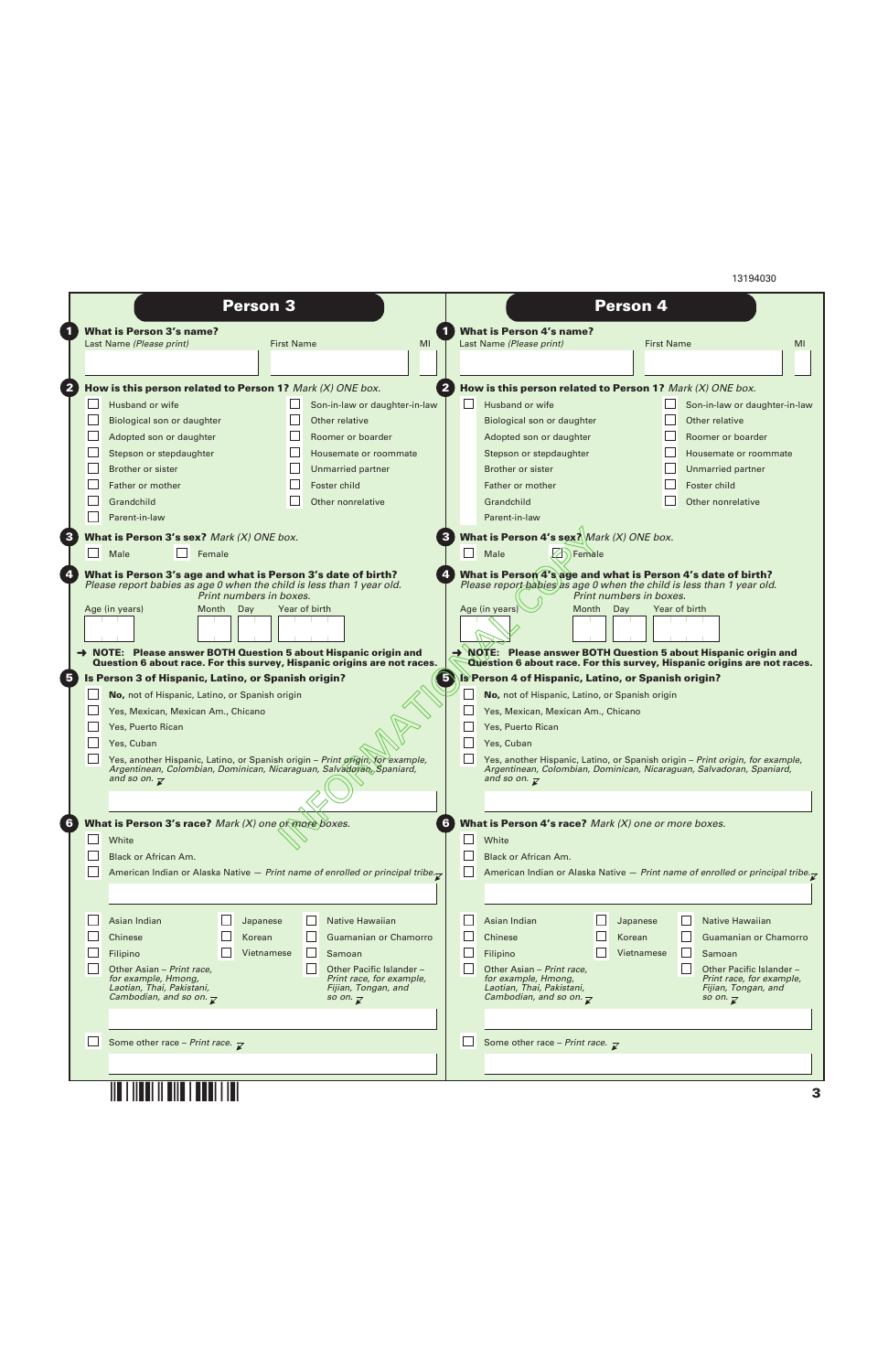13194030

|                                                                                                                                       | <b>Person 3</b>         |                                                                                        |        |                                                                                                                                       |               | <b>Person 4</b>         |               |                                                      |  |
|---------------------------------------------------------------------------------------------------------------------------------------|-------------------------|----------------------------------------------------------------------------------------|--------|---------------------------------------------------------------------------------------------------------------------------------------|---------------|-------------------------|---------------|------------------------------------------------------|--|
| <b>What is Person 3's name?</b><br>Last Name (Please print)                                                                           | <b>First Name</b>       | MI                                                                                     |        | <b>What is Person 4's name?</b><br>Last Name (Please print)                                                                           |               | <b>First Name</b>       |               |                                                      |  |
|                                                                                                                                       |                         |                                                                                        |        |                                                                                                                                       |               |                         |               |                                                      |  |
| How is this person related to Person 1? Mark $(X)$ ONE box.                                                                           |                         |                                                                                        |        | How is this person related to Person 1? Mark $(X)$ ONE box.                                                                           |               |                         |               |                                                      |  |
| Husband or wife                                                                                                                       |                         | Son-in-law or daughter-in-law                                                          | $\Box$ | Husband or wife                                                                                                                       |               |                         |               | Son-in-law or daughter-in-law                        |  |
| Biological son or daughter                                                                                                            |                         | Other relative                                                                         |        | Biological son or daughter                                                                                                            |               |                         |               | Other relative                                       |  |
| Adopted son or daughter                                                                                                               |                         | Roomer or boarder                                                                      |        | Adopted son or daughter                                                                                                               |               |                         |               | Roomer or boarder                                    |  |
| Stepson or stepdaughter                                                                                                               |                         | Housemate or roommate                                                                  |        | Stepson or stepdaughter                                                                                                               |               |                         |               | Housemate or roommate                                |  |
| Brother or sister                                                                                                                     |                         | Unmarried partner                                                                      |        | Brother or sister                                                                                                                     |               |                         |               | Unmarried partner                                    |  |
| Father or mother                                                                                                                      |                         | Foster child                                                                           |        | Father or mother                                                                                                                      |               |                         |               | Foster child                                         |  |
| Grandchild                                                                                                                            |                         | Other nonrelative                                                                      |        | Grandchild                                                                                                                            |               |                         |               | Other nonrelative                                    |  |
| Parent-in-law                                                                                                                         |                         |                                                                                        |        | Parent-in-law                                                                                                                         |               |                         |               |                                                      |  |
| What is Person 3's sex? Mark (X) ONE box.                                                                                             |                         |                                                                                        |        | What is Person 4's sex? $Mark(X)$ ONE box.                                                                                            |               |                         |               |                                                      |  |
| Male<br>Female                                                                                                                        |                         |                                                                                        |        | Male                                                                                                                                  | $\Box$ Female |                         |               |                                                      |  |
|                                                                                                                                       |                         |                                                                                        |        |                                                                                                                                       |               |                         |               |                                                      |  |
| What is Person 3's age and what is Person 3's date of birth?<br>Please report babies as age 0 when the child is less than 1 year old. |                         |                                                                                        |        | What is Person 4's age and what is Person 4's date of birth?<br>Please report babies as age 0 when the child is less than 1 year old. |               |                         |               |                                                      |  |
|                                                                                                                                       | Print numbers in boxes. |                                                                                        |        |                                                                                                                                       |               | Print numbers in boxes. |               |                                                      |  |
| Age (in years)<br><b>Month</b>                                                                                                        | Day<br>Year of birth    |                                                                                        |        | Age (in years)                                                                                                                        | Month         | Day                     | Year of birth |                                                      |  |
|                                                                                                                                       |                         |                                                                                        |        |                                                                                                                                       |               |                         |               |                                                      |  |
| → NOTE: Please answer BOTH Question 5 about Hispanic origin and                                                                       |                         |                                                                                        |        | $\rightarrow$ NOTE: Please answer BOTH Question 5 about Hispanic origin and                                                           |               |                         |               |                                                      |  |
| Is Person 3 of Hispanic, Latino, or Spanish origin?                                                                                   |                         |                                                                                        |        |                                                                                                                                       |               |                         |               |                                                      |  |
|                                                                                                                                       |                         |                                                                                        |        | 5 Is Person 4 of Hispanic, Latino, or Spanish origin?                                                                                 |               |                         |               |                                                      |  |
| No, not of Hispanic, Latino, or Spanish origin                                                                                        |                         |                                                                                        |        | No, not of Hispanic, Latino, or Spanish origin                                                                                        |               |                         |               |                                                      |  |
| Yes, Mexican, Mexican Am., Chicano<br>Yes, Puerto Rican                                                                               |                         |                                                                                        |        | Yes, Mexican, Mexican Am., Chicano<br>Yes, Puerto Rican                                                                               |               |                         |               |                                                      |  |
| Yes, Cuban                                                                                                                            |                         |                                                                                        |        | Yes, Cuban                                                                                                                            |               |                         |               |                                                      |  |
|                                                                                                                                       |                         | Yes, another Hispanic, Latino, or Spanish origin - Print origin, for example,          |        | Yes, another Hispanic, Latino, or Spanish origin - Print origin, for example,                                                         |               |                         |               |                                                      |  |
| Argentinean, Colombian, Dominican, Nicaraguan, Salvadoran, Spaniard,                                                                  |                         |                                                                                        |        | Argentinean, Colombian, Dominican, Nicaraguan, Salvadoran, Spaniard,                                                                  |               |                         |               |                                                      |  |
| and so on. $\overline{\mathcal{X}}$                                                                                                   |                         |                                                                                        |        | and so on. $\overline{\mathcal{X}}$                                                                                                   |               |                         |               |                                                      |  |
|                                                                                                                                       |                         |                                                                                        |        |                                                                                                                                       |               |                         |               |                                                      |  |
|                                                                                                                                       |                         |                                                                                        |        | What is Person 4's race? Mark $(X)$ one or more boxes.                                                                                |               |                         |               |                                                      |  |
| White                                                                                                                                 |                         |                                                                                        |        | White                                                                                                                                 |               |                         |               |                                                      |  |
| Black or African Am.                                                                                                                  |                         |                                                                                        |        | Black or African Am.                                                                                                                  |               |                         |               |                                                      |  |
|                                                                                                                                       |                         | American Indian or Alaska Native - Print name of enrolled or principal tribe. $\nabla$ |        | American Indian or Alaska Native - Print name of enrolled or principal tribe. $\nabla$                                                |               |                         |               |                                                      |  |
|                                                                                                                                       |                         |                                                                                        |        |                                                                                                                                       |               |                         |               |                                                      |  |
|                                                                                                                                       |                         |                                                                                        |        |                                                                                                                                       |               |                         |               |                                                      |  |
| Asian Indian                                                                                                                          | Japanese<br>L           | Native Hawaiian                                                                        |        | Asian Indian                                                                                                                          |               | Japanese                |               | Native Hawaiian                                      |  |
| What is Person 3's race? Mark (X) one of more boxes.<br>Chinese                                                                       | Korean                  | Guamanian or Chamorro                                                                  |        | Chinese                                                                                                                               |               | Korean                  |               | Guamanian or Chamorro                                |  |
| Filipino                                                                                                                              | Vietnamese              | Samoan                                                                                 |        | Filipino                                                                                                                              |               | Vietnamese              |               | Samoan                                               |  |
| Other Asian - Print race,<br>for example, Hmong,                                                                                      |                         | Other Pacific Islander -<br>Print race, for example,                                   |        | Other Asian – Print race,<br>for example, Hmong,                                                                                      |               |                         |               | Other Pacific Islander -<br>Print race, for example, |  |
| Laotian, Thai, Pakistani,                                                                                                             |                         | Fijian, Tongan, and                                                                    |        | Laotian, Thai, Pakistani,                                                                                                             |               |                         |               | Fijian, Tongan, and                                  |  |
| Cambodian, and so on. $\overline{\mathcal{X}}$                                                                                        |                         | so on. $\overline{\mathcal{X}}$                                                        |        | Cambodian, and so on. $\overline{\mathsf{x}}$                                                                                         |               |                         |               | so on. $\overline{\mathbf{x}}$                       |  |
|                                                                                                                                       |                         |                                                                                        |        |                                                                                                                                       |               |                         |               |                                                      |  |
| Some other race - Print race. $\overline{\mathcal{L}}$                                                                                |                         |                                                                                        |        | Some other race - Print race. $\overline{\phantom{a}}$                                                                                |               |                         |               |                                                      |  |
|                                                                                                                                       |                         |                                                                                        |        |                                                                                                                                       |               |                         |               |                                                      |  |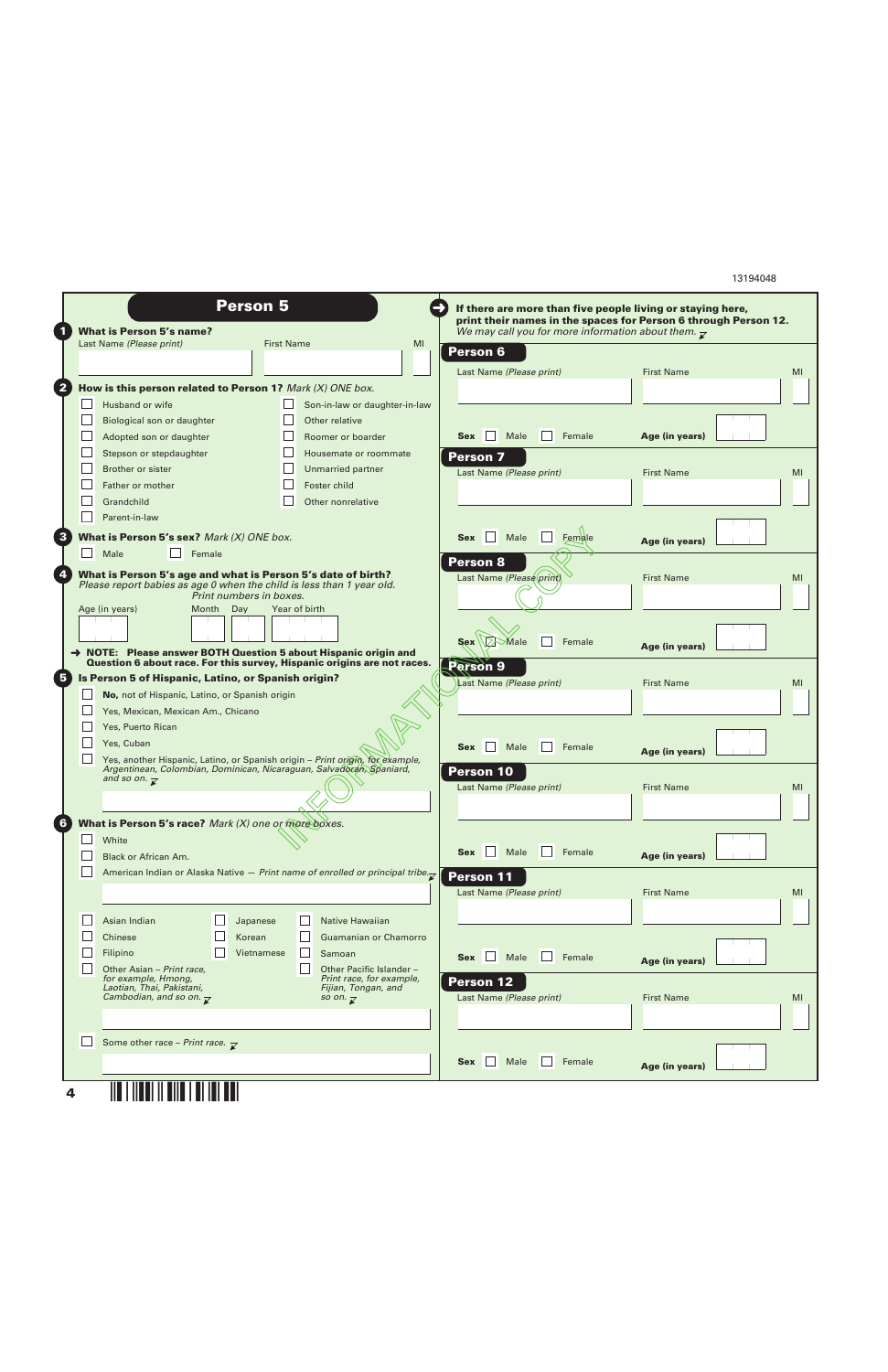|        | <b>Person 5</b>                                                                                                                       |                                                                                        | If there are more than five people living or staying here,<br>print their names in the spaces for Person 6 through Person 12. |                   |
|--------|---------------------------------------------------------------------------------------------------------------------------------------|----------------------------------------------------------------------------------------|-------------------------------------------------------------------------------------------------------------------------------|-------------------|
|        | <b>What is Person 5's name?</b>                                                                                                       |                                                                                        | We may call you for more information about them. $\nabla$                                                                     |                   |
|        | Last Name (Please print)                                                                                                              | <b>First Name</b><br>MI                                                                | <b>Person 6</b>                                                                                                               |                   |
|        |                                                                                                                                       |                                                                                        | Last Name (Please print)                                                                                                      | <b>First Name</b> |
|        | How is this person related to Person 1? Mark $(X)$ ONE box.                                                                           |                                                                                        |                                                                                                                               |                   |
|        | Husband or wife                                                                                                                       | Son-in-law or daughter-in-law                                                          |                                                                                                                               |                   |
|        | Biological son or daughter                                                                                                            | Other relative                                                                         |                                                                                                                               |                   |
|        | Adopted son or daughter                                                                                                               | Roomer or boarder                                                                      | Sex Male Female                                                                                                               | Age (in years)    |
|        | Stepson or stepdaughter                                                                                                               | Housemate or roommate                                                                  | Person <sub>7</sub>                                                                                                           |                   |
|        | Brother or sister                                                                                                                     | $\mathbb{R}^n$<br>Unmarried partner                                                    | Last Name (Please print)                                                                                                      | <b>First Name</b> |
|        | Father or mother                                                                                                                      | $\mathbf{L}$<br>Foster child                                                           |                                                                                                                               |                   |
|        | Grandchild                                                                                                                            | Other nonrelative                                                                      |                                                                                                                               |                   |
|        | Parent-in-law                                                                                                                         |                                                                                        |                                                                                                                               |                   |
|        | What is Person 5's sex? Mark (X) ONE box.                                                                                             |                                                                                        | $\Box$ Female<br>Sex Male                                                                                                     |                   |
| $\Box$ | Male<br>Female                                                                                                                        |                                                                                        |                                                                                                                               | Age (in years)    |
|        |                                                                                                                                       |                                                                                        | <b>Person 8</b>                                                                                                               |                   |
|        | What is Person 5's age and what is Person 5's date of birth?<br>Please report babies as age 0 when the child is less than 1 year old. |                                                                                        | Last Name (Please print)                                                                                                      | <b>First Name</b> |
|        | Print numbers in boxes.                                                                                                               |                                                                                        |                                                                                                                               |                   |
|        | Age (in years)<br>Day<br>Month                                                                                                        | Year of birth                                                                          |                                                                                                                               |                   |
|        |                                                                                                                                       |                                                                                        |                                                                                                                               |                   |
|        |                                                                                                                                       | → NOTE: Please answer BOTH Question 5 about Hispanic origin and                        | Female<br><b>Sex</b><br>√ <i>Z</i> → Male                                                                                     | Age (in years)    |
|        |                                                                                                                                       | Question 6 about race. For this survey, Hispanic origins are not races.                | Person 9                                                                                                                      |                   |
|        | Is Person 5 of Hispanic, Latino, or Spanish origin?                                                                                   |                                                                                        | Last Name (Please print)                                                                                                      | <b>First Name</b> |
|        | No, not of Hispanic, Latino, or Spanish origin                                                                                        |                                                                                        |                                                                                                                               |                   |
|        | Yes, Mexican, Mexican Am., Chicano                                                                                                    |                                                                                        |                                                                                                                               |                   |
|        | Yes, Puerto Rican                                                                                                                     |                                                                                        |                                                                                                                               |                   |
|        | Yes, Cuban                                                                                                                            |                                                                                        | $\mathbf{L}$<br>Male<br><b>Sex</b><br>Female                                                                                  | Age (in years)    |
|        | Argentinean, Colombian, Dominican, Nicaraguan, Salvadoran, Spaniard,                                                                  | Yes, another Hispanic, Latino, or Spanish origin - Print origin, for example,          |                                                                                                                               |                   |
|        | and so on. $\overline{\mathcal{X}}$                                                                                                   |                                                                                        | Person 10                                                                                                                     |                   |
|        |                                                                                                                                       |                                                                                        | Last Name (Please print)                                                                                                      | <b>First Name</b> |
|        |                                                                                                                                       |                                                                                        |                                                                                                                               |                   |
|        | What is Person 5's race? Mark (X) one or more boxes.                                                                                  |                                                                                        |                                                                                                                               |                   |
|        | White                                                                                                                                 |                                                                                        |                                                                                                                               |                   |
|        | Black or African Am.                                                                                                                  |                                                                                        | Sex Male<br>Female                                                                                                            | Age (in years)    |
|        |                                                                                                                                       | American Indian or Alaska Native - Print name of enrolled or principal tribe. $\nabla$ | Person 11                                                                                                                     |                   |
|        |                                                                                                                                       |                                                                                        | Last Name (Please print)                                                                                                      | <b>First Name</b> |
|        |                                                                                                                                       |                                                                                        |                                                                                                                               |                   |
|        | Asian Indian<br>$\Box$<br>Japanese                                                                                                    | Ш<br>Native Hawaiian                                                                   |                                                                                                                               |                   |
|        | Chinese<br>Korean                                                                                                                     | Guamanian or Chamorro                                                                  |                                                                                                                               |                   |
|        | Filipino                                                                                                                              | Samoan<br>Vietnamese                                                                   | $Sex$    <br>Male<br>$\Box$ Female                                                                                            | Age (in years)    |
|        | Other Asian - Print race,<br>for example, Hmong,                                                                                      | Other Pacific Islander -<br>Print race, for example,                                   |                                                                                                                               |                   |
|        | Laotian, Thai, Pakistani,                                                                                                             | Fijian, Tongan, and                                                                    | Person 12                                                                                                                     |                   |
|        | Cambodian, and so on. $\overline{\mathcal{X}}$                                                                                        | so on. $\overline{\mathcal{X}}$                                                        | Last Name (Please print)                                                                                                      | <b>First Name</b> |
|        |                                                                                                                                       |                                                                                        |                                                                                                                               |                   |
|        | Some other race - Print race. $\overline{\mathcal{L}}$                                                                                |                                                                                        |                                                                                                                               |                   |
|        |                                                                                                                                       |                                                                                        |                                                                                                                               |                   |
|        |                                                                                                                                       |                                                                                        | $Sex$ $\Box$<br>Female<br>Male                                                                                                |                   |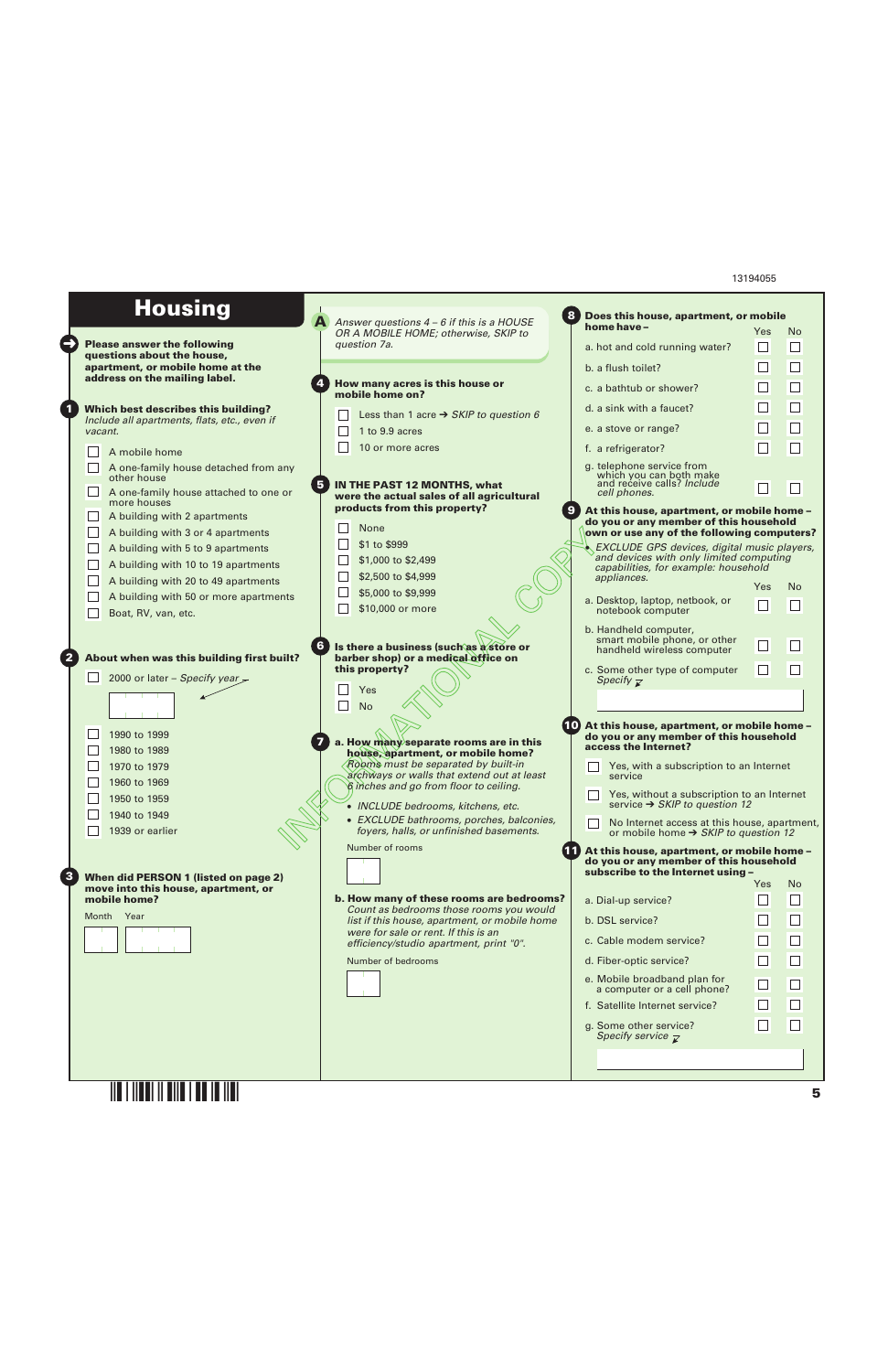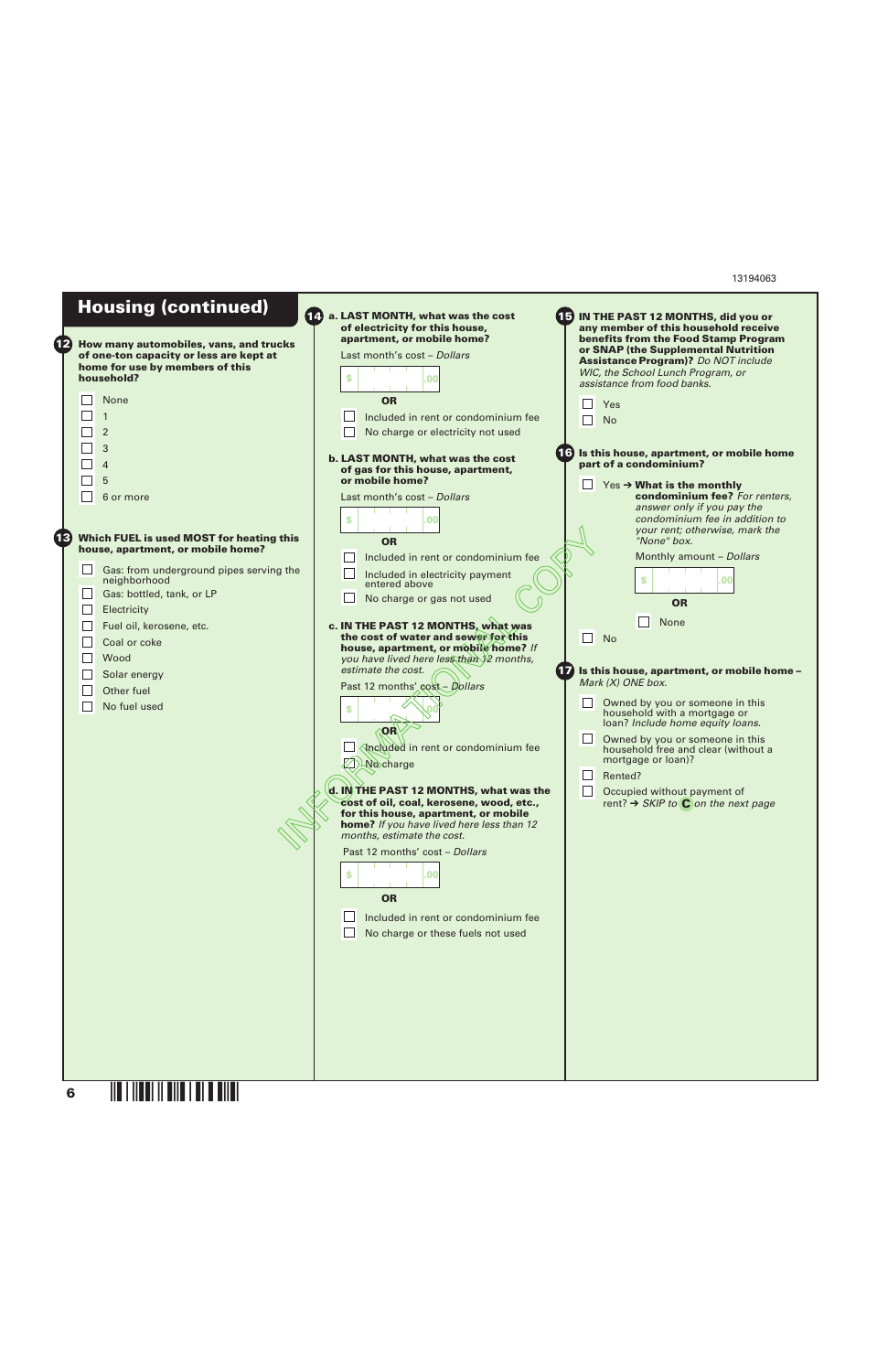| <b>12</b> | <b>Housing (continued)</b><br>How many automobiles, vans, and trucks<br>of one-ton capacity or less are kept at<br>home for use by members of this<br>household?<br>None<br>$\mathbf{1}$<br>$\overline{2}$<br>3<br>4<br>5<br>6 or more                                                 | 14 a. LAST MONTH, what was the cost<br>of electricity for this house,<br>apartment, or mobile home?<br>Last month's cost - Dollars<br><b>S</b><br>.00<br><b>OR</b><br>Included in rent or condominium fee<br>No charge or electricity not used<br>(16)<br>b. LAST MONTH, what was the cost<br>of gas for this house, apartment,<br>or mobile home?<br>Last month's cost - Dollars<br><b>S</b><br>O                                                                                                                                                                                                                                                                                                                                                                                                | <b>15 IN THE PAST 12 MONTHS, did you or</b><br>any member of this household receive<br>benefits from the Food Stamp Program<br>or SNAP (the Supplemental Nutrition<br><b>Assistance Program)?</b> Do NOT include<br>WIC, the School Lunch Program, or<br>assistance from food banks.<br>Yes<br>$\Box$<br><b>No</b><br>Is this house, apartment, or mobile home<br>part of a condominium?<br>$Yes \rightarrow What$ is the monthly<br>condominium fee? For renters,<br>answer only if you pay the<br>condominium fee in addition to    |
|-----------|----------------------------------------------------------------------------------------------------------------------------------------------------------------------------------------------------------------------------------------------------------------------------------------|---------------------------------------------------------------------------------------------------------------------------------------------------------------------------------------------------------------------------------------------------------------------------------------------------------------------------------------------------------------------------------------------------------------------------------------------------------------------------------------------------------------------------------------------------------------------------------------------------------------------------------------------------------------------------------------------------------------------------------------------------------------------------------------------------|---------------------------------------------------------------------------------------------------------------------------------------------------------------------------------------------------------------------------------------------------------------------------------------------------------------------------------------------------------------------------------------------------------------------------------------------------------------------------------------------------------------------------------------|
| 13        | Which FUEL is used MOST for heating this<br>house, apartment, or mobile home?<br>Gas: from underground pipes serving the<br>neighborhood<br>Gas: bottled, tank, or LP<br>Electricity<br>Fuel oil, kerosene, etc.<br>Coal or coke<br>Wood<br>Solar energy<br>Other fuel<br>No fuel used | <b>OR</b><br>Included in rent or condominium fee<br>Included in electricity payment<br>entered above<br>No charge or gas not used<br>c. IN THE PAST 12 MONTHS, what was<br>the cost of water and sewer for this<br>house, apartment, or mobile home? If<br>you have lived here less than 12 months,<br>estimate the cost.<br>67)<br>Past 12 months' cost - Dollars<br>S<br><b>OR</b><br><b>Included in rent or condominium fee</b><br>A No charge<br>d. IN THE PAST 12 MONTHS, what was the<br>cost of oil, coal, kerosene, wood, etc.,<br>for this house, apartment, or mobile<br>home? If you have lived here less than 12<br>months, estimate the cost.<br>Past 12 months' cost - Dollars<br><b>S</b><br>.OC<br>OR<br>Included in rent or condominium fee<br>No charge or these fuels not used | your rent; otherwise, mark the<br>"None" box.<br>Monthly amount - Dollars<br>S<br>.00<br><b>OR</b><br>$\Box$<br>None<br>$\Box$<br><b>No</b><br>Is this house, apartment, or mobile home -<br>Mark (X) ONE box.<br>$\Box$<br>Owned by you or someone in this<br>household with a mortgage or<br>loan? Include home equity loans.<br>Owned by you or someone in this<br>$\Box$<br>household free and clear (without a<br>mortgage or loan)?<br>Rented?<br>Occupied without payment of<br>rent? $\rightarrow$ SKIP to C on the next page |
|           | 6                                                                                                                                                                                                                                                                                      |                                                                                                                                                                                                                                                                                                                                                                                                                                                                                                                                                                                                                                                                                                                                                                                                   |                                                                                                                                                                                                                                                                                                                                                                                                                                                                                                                                       |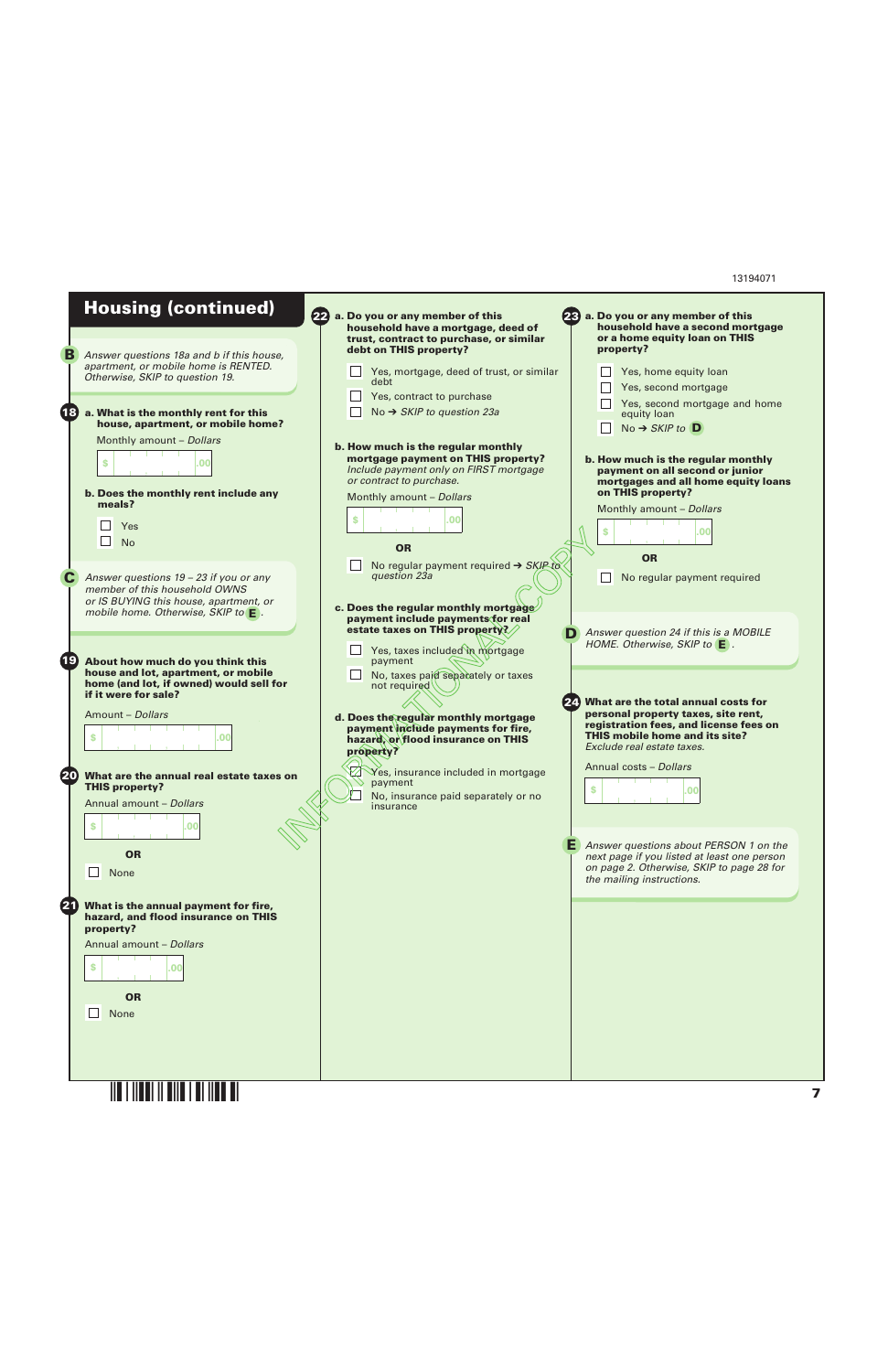

**§.4Ih¤**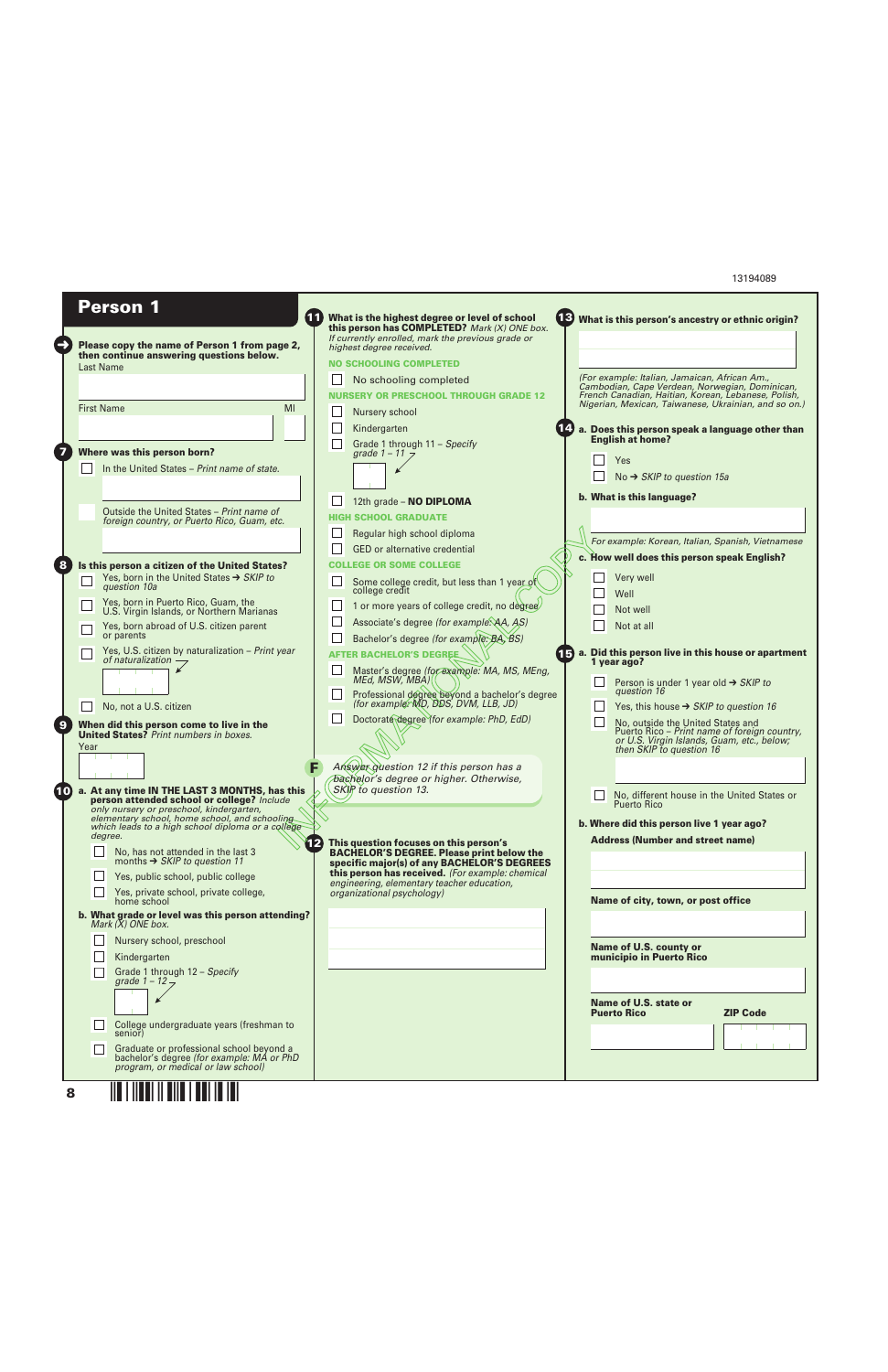### 13194089

|                         | <b>Person 1</b>                                                                                                                                            | What is the highest degree or level of school<br>this person has COMPLETED? Mark (X) ONE box.<br>If currently enrolled, mark the previous grade or | 13 What is this person's ancestry or ethnic origin?                                                                    |
|-------------------------|------------------------------------------------------------------------------------------------------------------------------------------------------------|----------------------------------------------------------------------------------------------------------------------------------------------------|------------------------------------------------------------------------------------------------------------------------|
|                         | Please copy the name of Person 1 from page 2,<br>then continue answering questions below.                                                                  | highest degree received.<br><b>NO SCHOOLING COMPLETED</b>                                                                                          |                                                                                                                        |
|                         | Last Name                                                                                                                                                  | No schooling completed                                                                                                                             | (For example: Italian, Jamaican, African Am.,                                                                          |
|                         |                                                                                                                                                            | <b>NURSERY OR PRESCHOOL THROUGH GRADE 12</b>                                                                                                       | Cambodian, Cape Verdean, Norwegian, Dominican,<br>French Canadian, Haitian, Korean, Lebanese, Polish,                  |
|                         | <b>First Name</b><br>MI                                                                                                                                    | Nursery school<br>$\mathbf{I}$                                                                                                                     | Nigerian, Mexican, Taiwanese, Ukrainian, and so on.)                                                                   |
|                         |                                                                                                                                                            | Kindergarten                                                                                                                                       | a. Does this person speak a language other than                                                                        |
| $\overline{\mathbf{z}}$ | Where was this person born?                                                                                                                                | Grade 1 through 11 - Specify<br>grade $1 - 11 =$                                                                                                   | <b>English at home?</b>                                                                                                |
|                         | In the United States - Print name of state.                                                                                                                |                                                                                                                                                    | Yes                                                                                                                    |
|                         |                                                                                                                                                            |                                                                                                                                                    | No $\rightarrow$ SKIP to question 15a                                                                                  |
|                         |                                                                                                                                                            | 12th grade - NO DIPLOMA                                                                                                                            | b. What is this language?                                                                                              |
|                         | Outside the United States - Print name of<br>foreign country, or Puerto Rico, Guam, etc.                                                                   | <b>HIGH SCHOOL GRADUATE</b>                                                                                                                        |                                                                                                                        |
|                         |                                                                                                                                                            | Regular high school diploma                                                                                                                        | For example: Korean, Italian, Spanish, Vietnamese                                                                      |
|                         |                                                                                                                                                            | <b>GED</b> or alternative credential                                                                                                               | c. How well does this person speak English?                                                                            |
| 8                       | Is this person a citizen of the United States?<br>Yes, born in the United States $\rightarrow$ SKIP to                                                     | <b>COLLEGE OR SOME COLLEGE</b>                                                                                                                     | Very well                                                                                                              |
|                         | question 10a                                                                                                                                               | Some college credit, but less than 1 year of<br>college credit                                                                                     | Well                                                                                                                   |
|                         | Yes, born in Puerto Rico, Guam, the<br>U.S. Virgin Islands, or Northern Marianas                                                                           | 1 or more years of college credit, no degree/                                                                                                      | Not well                                                                                                               |
|                         | Yes, born abroad of U.S. citizen parent                                                                                                                    | Associate's degree (for example: AA, AS)<br>$\Box$                                                                                                 | Not at all                                                                                                             |
|                         | or parents<br>Yes, U.S. citizen by naturalization - Print year                                                                                             | Bachelor's degree (for example: BA, BS)<br><b>AFTER BACHELOR'S DEGREI</b>                                                                          | a. Did this person live in this house or apartment                                                                     |
|                         | of naturalization $-$                                                                                                                                      |                                                                                                                                                    | 65<br>1 year ago?                                                                                                      |
|                         |                                                                                                                                                            | Master's degree (for example: MA, MS, MEng,<br>MEd, MSW, MBA)(                                                                                     | Person is under 1 year old $\rightarrow$ SKIP to                                                                       |
|                         | No, not a U.S. citizen                                                                                                                                     | Professional degree beyond a bachelor's degree<br>(for example: MD, DDS, DVM, LLB, JD)                                                             | question 16<br>Yes, this house $\rightarrow$ SKIP to question 16                                                       |
| ( 9                     | When did this person come to live in the                                                                                                                   | Doctorate degree (for example: PhD, EdD)                                                                                                           | No, outside the United States and<br>$\perp$                                                                           |
|                         | <b>United States?</b> Print numbers in boxes.<br>Year                                                                                                      |                                                                                                                                                    | Puerto Rico - Print name of foreign country,<br>or U.S. Virgin Islands, Guam, etc., below;<br>then SKIP to question 16 |
|                         |                                                                                                                                                            | Answer question 12 if this person has a                                                                                                            |                                                                                                                        |
| (10)                    | a. At any time IN THE LAST 3 MONTHS, has this                                                                                                              | bachelor's degree or higher. Otherwise,<br>SKIP to question 13.                                                                                    |                                                                                                                        |
|                         | person attended school or college? Include<br>only nursery or preschool, kindergarten,                                                                     |                                                                                                                                                    | No, different house in the United States or<br>Puerto Rico                                                             |
|                         | elementary school, home school, and schooling<br>which leads to a high school diploma or a college                                                         |                                                                                                                                                    | b. Where did this person live 1 year ago?                                                                              |
|                         | degree.                                                                                                                                                    | This question focuses on this person's<br>12)                                                                                                      | <b>Address (Number and street name)</b>                                                                                |
|                         | $\Box$<br>No, has not attended in the last 3<br>months $\rightarrow$ SKIP to question 11                                                                   | <b>BACHELOR'S DEGREE. Please print below the</b><br>specific major(s) of any BACHELOR'S DEGREES                                                    |                                                                                                                        |
|                         | Yes, public school, public college<br>$\Box$                                                                                                               | this person has received. (For example: chemical<br>engineering, elementary teacher education,                                                     |                                                                                                                        |
|                         | Yes, private school, private college,<br>home school                                                                                                       | organizational psychology)                                                                                                                         | Name of city, town, or post office                                                                                     |
|                         | b. What grade or level was this person attending?<br>Mark $(X)$ ONE box.                                                                                   |                                                                                                                                                    |                                                                                                                        |
|                         | $\Box$<br>Nursery school, preschool                                                                                                                        |                                                                                                                                                    |                                                                                                                        |
|                         | $\Box$<br>Kindergarten                                                                                                                                     |                                                                                                                                                    | Name of U.S. county or<br>municipio in Puerto Rico                                                                     |
|                         | Grade 1 through 12 - Specify<br>grade $1 - 12 -$                                                                                                           |                                                                                                                                                    |                                                                                                                        |
|                         |                                                                                                                                                            |                                                                                                                                                    |                                                                                                                        |
|                         |                                                                                                                                                            |                                                                                                                                                    | Name of U.S. state or<br><b>ZIP Code</b><br><b>Puerto Rico</b>                                                         |
|                         | College undergraduate years (freshman to<br>$\perp$<br>senior)                                                                                             |                                                                                                                                                    |                                                                                                                        |
|                         | $\mathcal{L}_{\mathcal{A}}$<br>Graduate or professional school beyond a<br>bachelor's degree (for example: MA or PhD<br>program, or medical or law school) |                                                                                                                                                    |                                                                                                                        |
| 8                       |                                                                                                                                                            |                                                                                                                                                    |                                                                                                                        |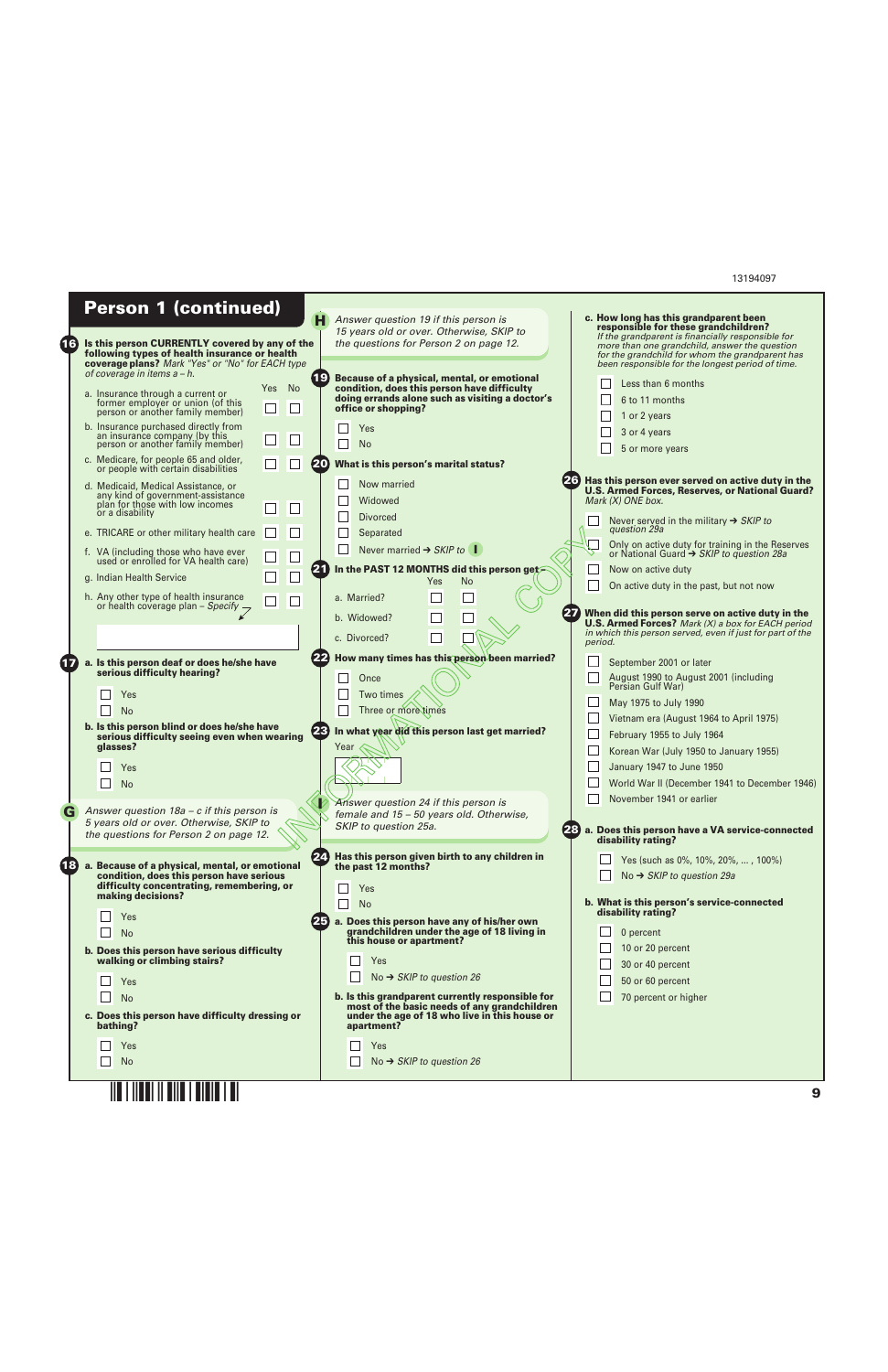|           | <b>Person 1 (continued)</b>                                                                                                                                                |                                       |                                                                                                                                                                      |                                                                                                                                                                                                                                                                                            |
|-----------|----------------------------------------------------------------------------------------------------------------------------------------------------------------------------|---------------------------------------|----------------------------------------------------------------------------------------------------------------------------------------------------------------------|--------------------------------------------------------------------------------------------------------------------------------------------------------------------------------------------------------------------------------------------------------------------------------------------|
| 【16】      | Is this person CURRENTLY covered by any of the<br>following types of health insurance or health<br>coverage plans? Mark "Yes" or "No" for EACH type                        |                                       | Answer question 19 if this person is<br>н<br>15 years old or over. Otherwise, SKIP to<br>the questions for Person 2 on page 12.                                      | c. How long has this grandparent been<br>responsible for these grandchildren?<br>If the grandparent is financially responsible for<br>more than one grandchild, answer the question<br>for the grandchild for whom the grandparent has<br>been responsible for the longest period of time. |
|           | of coverage in items a - h.<br>a. Insurance through a current or<br>former employer or union (of this<br>person or another family member)                                  | 【19<br>Yes No<br>$\Box$<br>$\Box$     | Because of a physical, mental, or emotional<br>condition, does this person have difficulty<br>doing errands alone such as visiting a doctor's<br>office or shopping? | Less than 6 months<br>6 to 11 months<br>1 or 2 years                                                                                                                                                                                                                                       |
|           | b. Insurance purchased directly from<br>an insurance company (by this<br>person or another family member)                                                                  | $\Box$<br>$\Box$                      | Yes<br>No.                                                                                                                                                           | 3 or 4 years<br>5 or more years                                                                                                                                                                                                                                                            |
|           | c. Medicare, for people 65 and older,<br>or people with certain disabilities                                                                                               | $\Box$<br>20                          | What is this person's marital status?                                                                                                                                |                                                                                                                                                                                                                                                                                            |
|           | d. Medicaid, Medical Assistance, or<br>any kind of government-assistance<br>plan for those with low incomes<br>or a disability<br>e. TRICARE or other military health care | $\Box$<br>$\Box$<br>$\Box$<br>$\perp$ | Now married<br>Widowed<br><b>Divorced</b><br>Separated                                                                                                               | Has this person ever served on active duty in the<br><b>U.S. Armed Forces, Reserves, or National Guard?</b><br>Mark (X) ONE box.<br>Never served in the military $\rightarrow$ SKIP to<br>question 29a                                                                                     |
|           | f. VA (including those who have ever<br>used or enrolled for VA health care)                                                                                               |                                       | Never married $\rightarrow$ SKIP to $\Box$                                                                                                                           | Only on active duty for training in the Reserves<br>or National Guard → SKIP to question 28a                                                                                                                                                                                               |
|           | g. Indian Health Service                                                                                                                                                   | 21<br>$\Box$                          | In the PAST 12 MONTHS did this person get-<br>Yes<br><b>No</b>                                                                                                       | $\Box$<br>Now on active duty<br>$\Box$<br>On active duty in the past, but not now                                                                                                                                                                                                          |
|           | h. Any other type of health insurance<br>or health coverage plan - Specify $\rightarrow$                                                                                   | $\Box$<br>$\Box$                      | ∟<br>$\Box$<br>a. Married?<br>$\Box$<br>b. Widowed?                                                                                                                  | 27<br>When did this person serve on active duty in the                                                                                                                                                                                                                                     |
|           |                                                                                                                                                                            |                                       | c. Divorced?                                                                                                                                                         | <b>U.S. Armed Forces?</b> Mark (X) a box for EACH period<br>in which this person served, even if just for part of the<br>period.                                                                                                                                                           |
| <b>17</b> | a. Is this person deaf or does he/she have<br>serious difficulty hearing?                                                                                                  |                                       | How many times has this person been married?<br>Once                                                                                                                 | September 2001 or later<br>$\mathbf{I}$<br>$\Box$<br>August 1990 to August 2001 (including<br>Persian Gulf War)                                                                                                                                                                            |
|           | Yes<br><b>No</b>                                                                                                                                                           |                                       | Two times<br>Three or more times                                                                                                                                     | $\Box$<br>May 1975 to July 1990<br>Vietnam era (August 1964 to April 1975)                                                                                                                                                                                                                 |
|           | b. Is this person blind or does he/she have<br>serious difficulty seeing even when wearing<br>glasses?<br>Yes<br><b>No</b>                                                 | (23                                   | In what year did this person last get married?<br>Year                                                                                                               | $\Box$<br>February 1955 to July 1964<br>Korean War (July 1950 to January 1955)<br>January 1947 to June 1950<br>World War II (December 1941 to December 1946)                                                                                                                               |
|           | Answer question $18a - c$ if this person is<br>5 years old or over. Otherwise, SKIP to<br>the questions for Person 2 on page 12.                                           |                                       | Answer question 24 if this person is<br>female and 15 - 50 years old. Otherwise,<br>SKIP to question 25a.                                                            | $\Box$<br>November 1941 or earlier<br>28 a. Does this person have a VA service-connected<br>disability rating?                                                                                                                                                                             |
| (18)      | a. Because of a physical, mental, or emotional<br>condition, does this person have serious<br>difficulty concentrating, remembering, or<br>making decisions?               |                                       | Has this person given birth to any children in<br>the past 12 months?<br>Yes<br><b>No</b>                                                                            | Yes (such as 0%, 10%, 20%, , 100%)<br>No $\rightarrow$ SKIP to question 29a<br>b. What is this person's service-connected<br>disability rating?                                                                                                                                            |
|           | Yes<br><b>No</b>                                                                                                                                                           |                                       | a. Does this person have any of his/her own<br>grandchildren under the age of 18 living in<br>this house or apartment?                                               | 0 percent                                                                                                                                                                                                                                                                                  |
|           | b. Does this person have serious difficulty<br>walking or climbing stairs?                                                                                                 |                                       | Yes<br>No $\rightarrow$ SKIP to question 26                                                                                                                          | 10 or 20 percent<br>30 or 40 percent                                                                                                                                                                                                                                                       |
|           | Yes<br><b>No</b><br>c. Does this person have difficulty dressing or<br>bathing?                                                                                            |                                       | b. Is this grandparent currently responsible for<br>most of the basic needs of any grandchildren<br>under the age of 18 who live in this house or<br>apartment?      | 50 or 60 percent<br>70 percent or higher                                                                                                                                                                                                                                                   |
|           | Yes<br><b>No</b>                                                                                                                                                           |                                       | Yes<br>No $\rightarrow$ SKIP to question 26                                                                                                                          |                                                                                                                                                                                                                                                                                            |
|           |                                                                                                                                                                            |                                       |                                                                                                                                                                      | 9                                                                                                                                                                                                                                                                                          |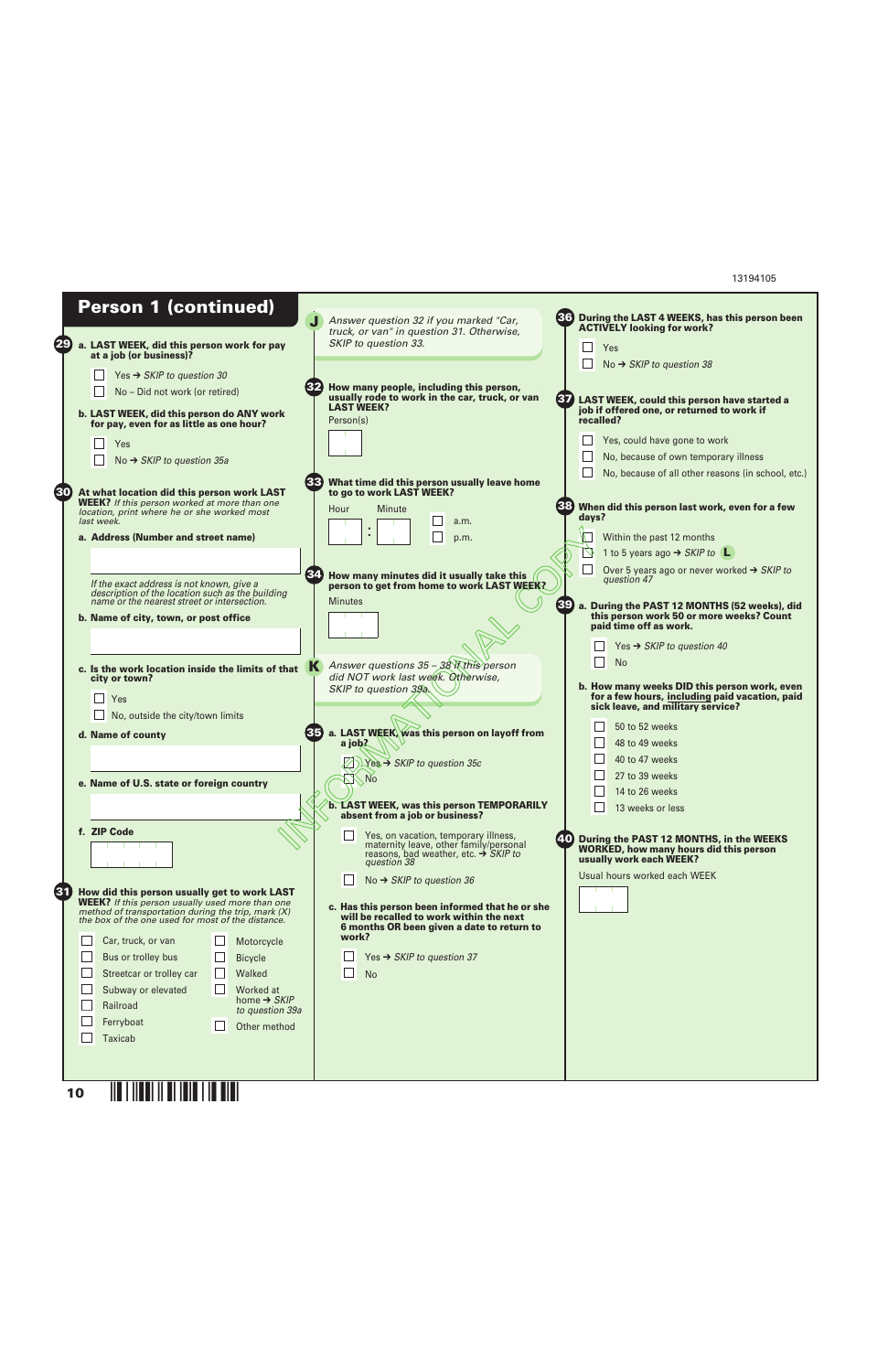| <b>Person 1 (continued)</b>                                                                                  |                                                                                                                                                   |                                                                                                                           |
|--------------------------------------------------------------------------------------------------------------|---------------------------------------------------------------------------------------------------------------------------------------------------|---------------------------------------------------------------------------------------------------------------------------|
|                                                                                                              | Answer question 32 if you marked "Car,                                                                                                            | During the LAST 4 WEEKS, has this person been<br>36)<br><b>ACTIVELY looking for work?</b>                                 |
| 29 a. LAST WEEK, did this person work for pay                                                                | truck, or van" in question 31. Otherwise,<br>SKIP to question 33.                                                                                 |                                                                                                                           |
| at a job (or business)?                                                                                      |                                                                                                                                                   | $\Box$<br>Yes                                                                                                             |
| Yes $\rightarrow$ SKIP to question 30                                                                        |                                                                                                                                                   | $\Box$<br>No $\rightarrow$ SKIP to question 38                                                                            |
| No - Did not work (or retired)                                                                               | How many people, including this person,                                                                                                           |                                                                                                                           |
| b. LAST WEEK, did this person do ANY work<br>for pay, even for as little as one hour?                        | usually rode to work in the car, truck, or van<br><b>LAST WEEK?</b><br>Person(s)                                                                  | 67<br>LAST WEEK, could this person have started a<br>job if offered one, or returned to work if<br>recalled?              |
| $\vert \ \ \vert$<br>Yes                                                                                     |                                                                                                                                                   | Yes, could have gone to work<br>$\Box$                                                                                    |
| No $\rightarrow$ SKIP to question 35a                                                                        |                                                                                                                                                   | $\Box$<br>No, because of own temporary illness                                                                            |
|                                                                                                              |                                                                                                                                                   | No, because of all other reasons (in school, etc.)                                                                        |
| 33<br>30<br>At what location did this person work LAST                                                       | What time did this person usually leave home<br>to go to work LAST WEEK?                                                                          |                                                                                                                           |
| <b>WEEK?</b> If this person worked at more than one<br>location, print where he or she worked most           | Hour<br>Minute                                                                                                                                    | When did this person last work, even for a few<br>38)                                                                     |
| last week.                                                                                                   | a.m.                                                                                                                                              | days?                                                                                                                     |
| a. Address (Number and street name)                                                                          | p.m.                                                                                                                                              | Within the past 12 months                                                                                                 |
|                                                                                                              |                                                                                                                                                   | 1 to 5 years ago $\rightarrow$ SKIP to $\Box$                                                                             |
| 34                                                                                                           | How many minutes did it usually take this                                                                                                         | $\Box$<br>Over 5 years ago or never worked $\rightarrow$ SKIP to                                                          |
| If the exact address is not known, give a<br>description of the location such as the building                | person to get from home to work LAST WEEK?                                                                                                        | question 47                                                                                                               |
| name or the nearest street or intersection.                                                                  | <b>Minutes</b>                                                                                                                                    | $\left( 39\right)$<br>a. During the PAST 12 MONTHS (52 weeks), did                                                        |
| b. Name of city, town, or post office                                                                        |                                                                                                                                                   | this person work 50 or more weeks? Count<br>paid time off as work.                                                        |
|                                                                                                              |                                                                                                                                                   |                                                                                                                           |
|                                                                                                              |                                                                                                                                                   | Yes $\rightarrow$ SKIP to question 40<br>No                                                                               |
| c. Is the work location inside the limits of that $\mathbf K$<br>city or town?                               | Answer questions 35 - 38 if this person<br>did NOT work last week. Otherwise,                                                                     |                                                                                                                           |
|                                                                                                              | SKIP to question 39a.                                                                                                                             | b. How many weeks DID this person work, even<br>for a few hours, including paid vacation, paid                            |
| Yes                                                                                                          |                                                                                                                                                   | sick leave, and military service?                                                                                         |
| No, outside the city/town limits                                                                             |                                                                                                                                                   | 50 to 52 weeks                                                                                                            |
| 35)<br>d. Name of county                                                                                     | a. LAST WEEK, was this person on layoff from<br>a job?                                                                                            | 48 to 49 weeks                                                                                                            |
|                                                                                                              | $Yes \rightarrow SKIP$ to question 35c                                                                                                            | 40 to 47 weeks                                                                                                            |
|                                                                                                              | .No                                                                                                                                               | 27 to 39 weeks                                                                                                            |
| e. Name of U.S. state or foreign country                                                                     |                                                                                                                                                   | 14 to 26 weeks                                                                                                            |
|                                                                                                              | b. LAST WEEK, was this person TEMPORARILY                                                                                                         | 13 weeks or less                                                                                                          |
| f. ZIP Code                                                                                                  | absent from a job or business?                                                                                                                    |                                                                                                                           |
| $\mathbf{r}$ and $\mathbf{r}$ and $\mathbf{r}$<br>the control of the con-                                    | Yes, on vacation, temporary illness,<br>maternity leave, other family/personal<br>reasons, bad weather, etc. $\rightarrow$ SKIP to<br>question 38 | 40<br>During the PAST 12 MONTHS, in the WEEKS<br><b>WORKED, how many hours did this person</b><br>usually work each WEEK? |
|                                                                                                              | No $\rightarrow$ SKIP to question 36<br>$\Box$                                                                                                    | Usual hours worked each WEEK                                                                                              |
| 31<br>How did this person usually get to work LAST                                                           |                                                                                                                                                   |                                                                                                                           |
| <b>WEEK?</b> If this person usually used more than one<br>method of transportation during the trip, mark (X) | c. Has this person been informed that he or she<br>will be recalled to work within the next                                                       |                                                                                                                           |
| the box of the one used for most of the distance.                                                            | 6 months OR been given a date to return to                                                                                                        |                                                                                                                           |
| Car, truck, or van<br>Motorcycle                                                                             | work?                                                                                                                                             |                                                                                                                           |
| Bus or trolley bus<br>$\Box$<br><b>Bicycle</b>                                                               | Yes $\rightarrow$ SKIP to question 37                                                                                                             |                                                                                                                           |
| $\perp$<br>Streetcar or trolley car<br>Walked                                                                | $\Box$<br><b>No</b>                                                                                                                               |                                                                                                                           |
| $\perp$<br>Subway or elevated<br>Worked at<br>home $\rightarrow$ SKIP                                        |                                                                                                                                                   |                                                                                                                           |
| Railroad<br>$\vert \ \ \vert$<br>to question 39a                                                             |                                                                                                                                                   |                                                                                                                           |
| Ferryboat<br>Other method                                                                                    |                                                                                                                                                   |                                                                                                                           |
| <b>Taxicab</b>                                                                                               |                                                                                                                                                   |                                                                                                                           |
|                                                                                                              |                                                                                                                                                   |                                                                                                                           |
|                                                                                                              |                                                                                                                                                   |                                                                                                                           |
| <u> III IIIIIIIIIII IIIIIIIII IIIIIIII</u><br>10                                                             |                                                                                                                                                   |                                                                                                                           |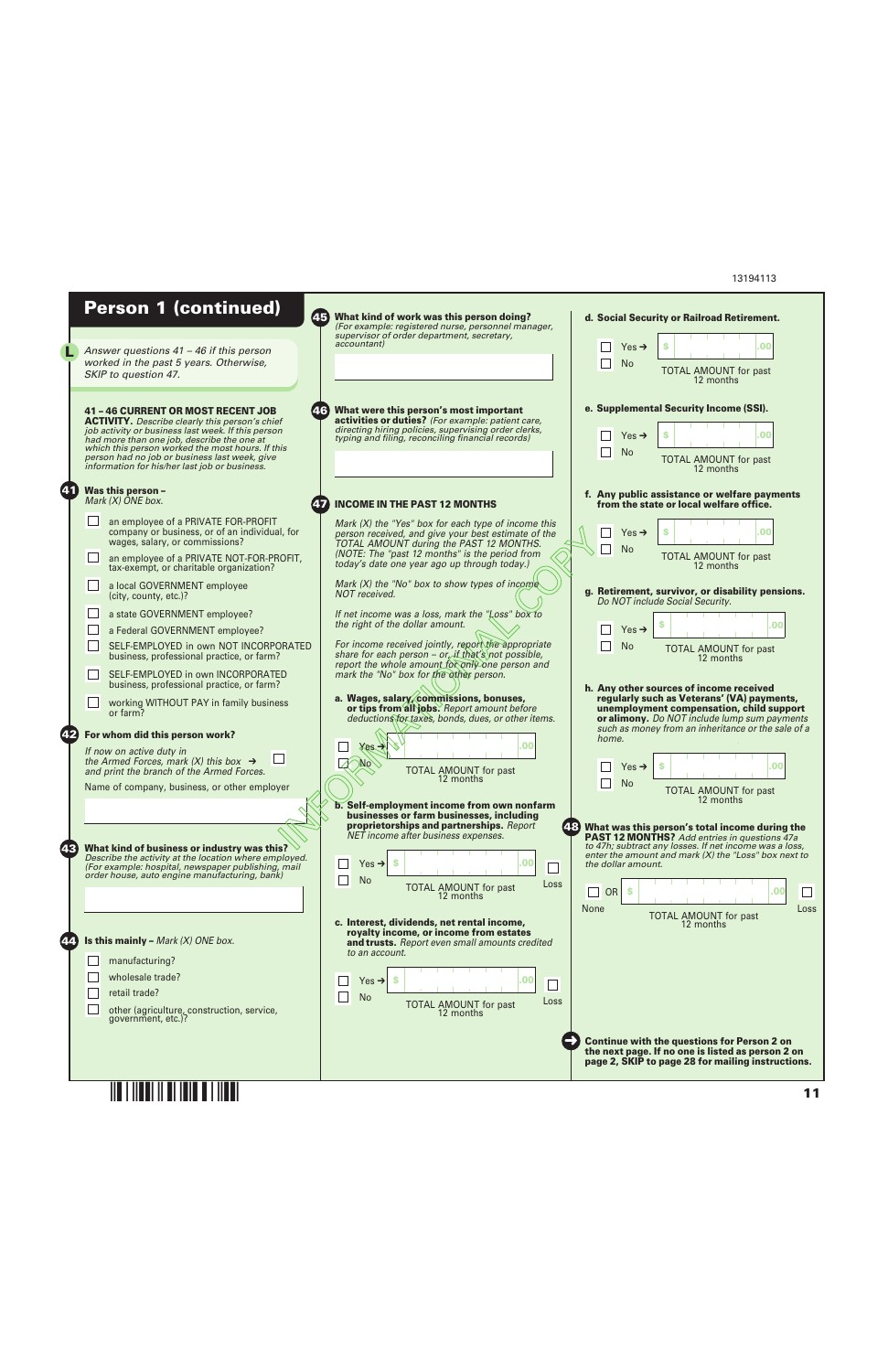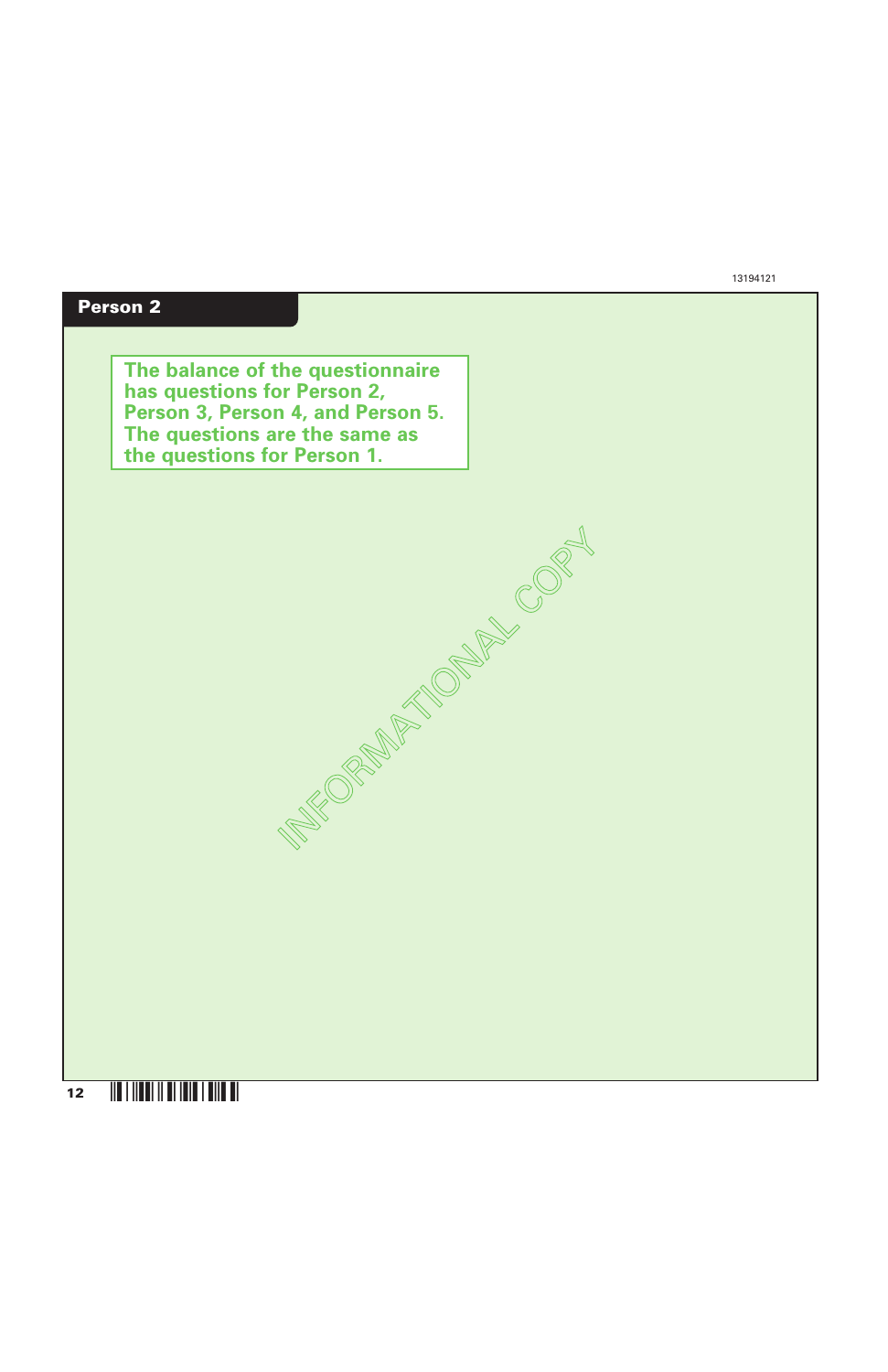### **Person 2**

**The balance of the questionnaire has questions for Person 2, Person 3, Person 4, and Person 5. The questions are the same as the questions for Person 1.** 

**INFORMATIONAL COPY**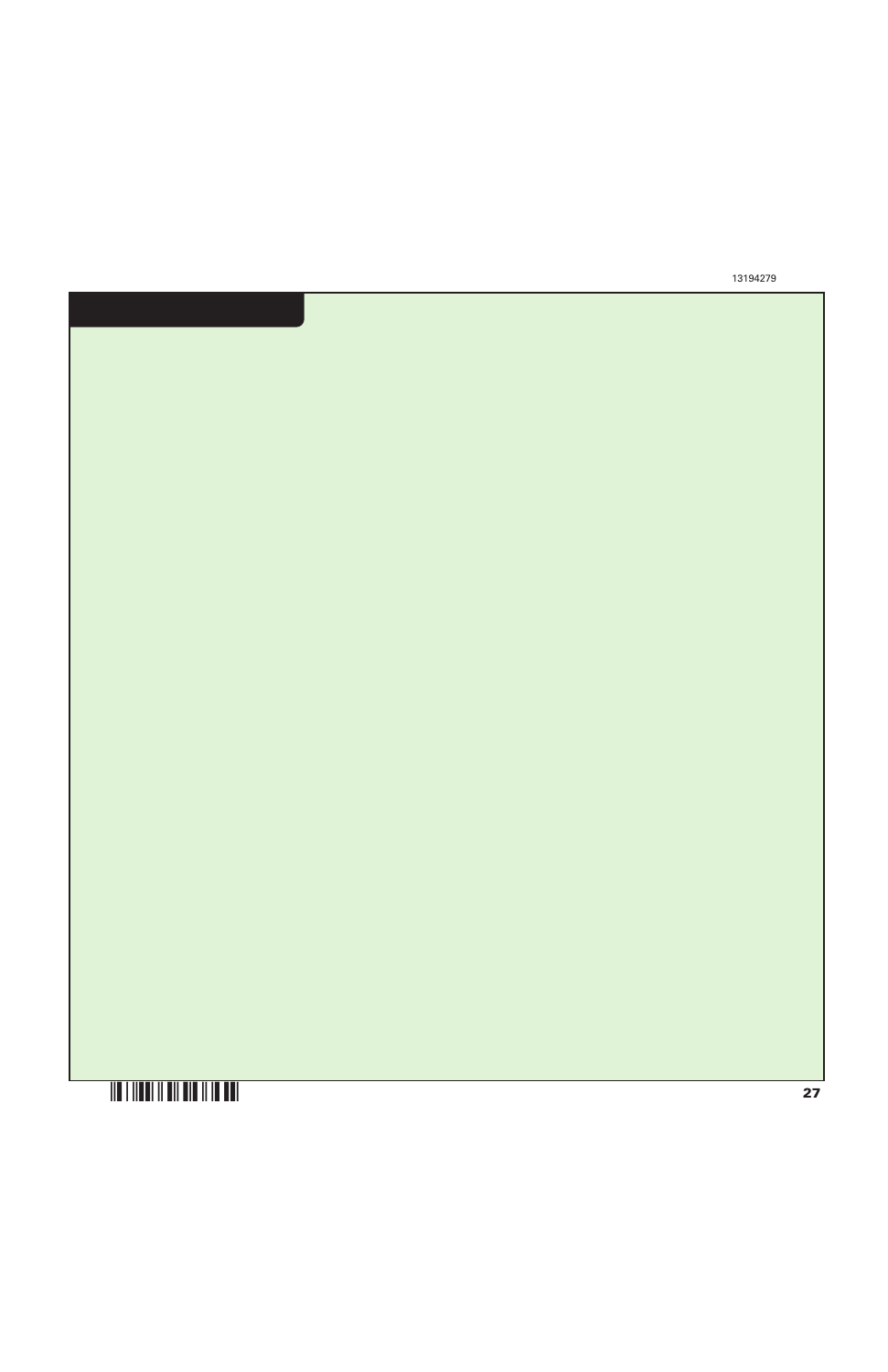